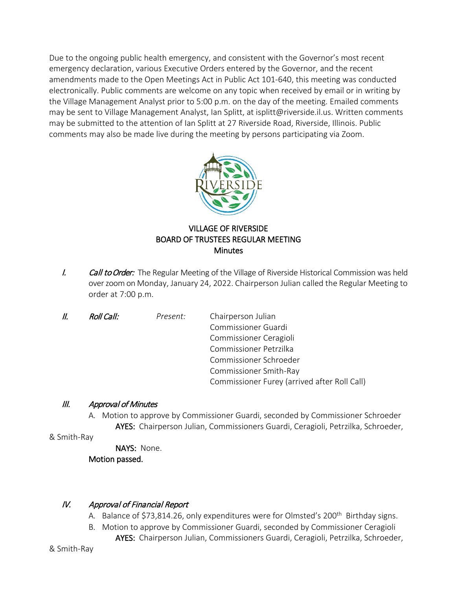Due to the ongoing public health emergency, and consistent with the Governor's most recent emergency declaration, various Executive Orders entered by the Governor, and the recent amendments made to the Open Meetings Act in Public Act 101-640, this meeting was conducted electronically. Public comments are welcome on any topic when received by email or in writing by the Village Management Analyst prior to 5:00 p.m. on the day of the meeting. Emailed comments may be sent to Village Management Analyst, Ian Splitt, at isplitt@riverside.il.us. Written comments may be submitted to the attention of Ian Splitt at 27 Riverside Road, Riverside, Illinois. Public comments may also be made live during the meeting by persons participating via Zoom.



# VILLAGE OF RIVERSIDE BOARD OF TRUSTEES REGULAR MEETING **Minutes**

- I. Call to Order: The Regular Meeting of the Village of Riverside Historical Commission was held over zoom on Monday, January 24, 2022. Chairperson Julian called the Regular Meeting to order at 7:00 p.m.
- II. Roll Call: *Present:* Chairperson Julian Commissioner Guardi Commissioner Ceragioli Commissioner Petrzilka Commissioner Schroeder Commissioner Smith-Ray Commissioner Furey (arrived after Roll Call)

### III. Approval of Minutes

A. Motion to approve by Commissioner Guardi, seconded by Commissioner Schroeder AYES: Chairperson Julian, Commissioners Guardi, Ceragioli, Petrzilka, Schroeder,

& Smith-Ray

 NAYS: None. Motion passed.

# IV. Approval of Financial Report

- A. Balance of \$73,814.26, only expenditures were for Olmsted's 200<sup>th</sup> Birthday signs.
- B. Motion to approve by Commissioner Guardi, seconded by Commissioner Ceragioli
	- AYES: Chairperson Julian, Commissioners Guardi, Ceragioli, Petrzilka, Schroeder,

& Smith-Ray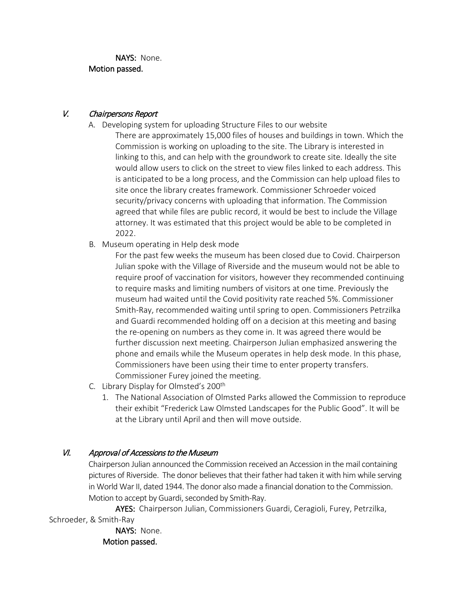NAYS: None. Motion passed.

### V. Chairpersons Report

- A. Developing system for uploading Structure Files to our website
	- There are approximately 15,000 files of houses and buildings in town. Which the Commission is working on uploading to the site. The Library is interested in linking to this, and can help with the groundwork to create site. Ideally the site would allow users to click on the street to view files linked to each address. This is anticipated to be a long process, and the Commission can help upload files to site once the library creates framework. Commissioner Schroeder voiced security/privacy concerns with uploading that information. The Commission agreed that while files are public record, it would be best to include the Village attorney. It was estimated that this project would be able to be completed in 2022.
- B. Museum operating in Help desk mode

For the past few weeks the museum has been closed due to Covid. Chairperson Julian spoke with the Village of Riverside and the museum would not be able to require proof of vaccination for visitors, however they recommended continuing to require masks and limiting numbers of visitors at one time. Previously the museum had waited until the Covid positivity rate reached 5%. Commissioner Smith-Ray, recommended waiting until spring to open. Commissioners Petrzilka and Guardi recommended holding off on a decision at this meeting and basing the re-opening on numbers as they come in. It was agreed there would be further discussion next meeting. Chairperson Julian emphasized answering the phone and emails while the Museum operates in help desk mode. In this phase, Commissioners have been using their time to enter property transfers. Commissioner Furey joined the meeting.

- C. Library Display for Olmsted's 200<sup>th</sup>
	- 1. The National Association of Olmsted Parks allowed the Commission to reproduce their exhibit "Frederick Law Olmsted Landscapes for the Public Good". It will be at the Library until April and then will move outside.

# VI. Approval of Accessions to the Museum

Chairperson Julian announced the Commission received an Accession in the mail containing pictures of Riverside. The donor believes that their father had taken it with him while serving in World War II, dated 1944. The donor also made a financial donation to the Commission. Motion to accept by Guardi, seconded by Smith-Ray.

 AYES: Chairperson Julian, Commissioners Guardi, Ceragioli, Furey, Petrzilka, Schroeder, & Smith-Ray

> NAYS: None. Motion passed.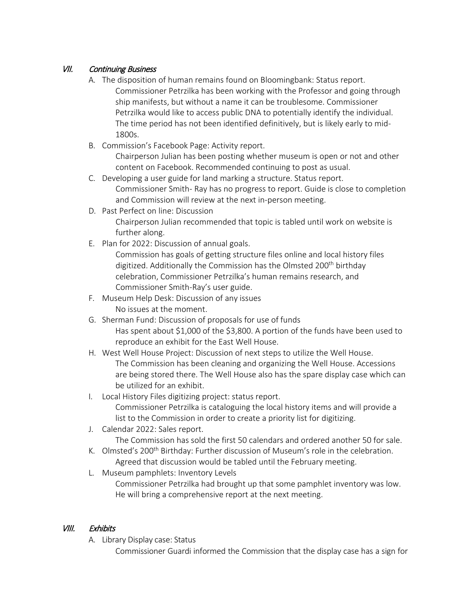## VII. Continuing Business

- A. The disposition of human remains found on Bloomingbank: Status report. Commissioner Petrzilka has been working with the Professor and going through ship manifests, but without a name it can be troublesome. Commissioner Petrzilka would like to access public DNA to potentially identify the individual. The time period has not been identified definitively, but is likely early to mid-1800s.
- B. Commission's Facebook Page: Activity report.

Chairperson Julian has been posting whether museum is open or not and other content on Facebook. Recommended continuing to post as usual.

- C. Developing a user guide for land marking a structure. Status report. Commissioner Smith- Ray has no progress to report. Guide is close to completion and Commission will review at the next in-person meeting.
- D. Past Perfect on line: Discussion

Chairperson Julian recommended that topic is tabled until work on website is further along.

E. Plan for 2022: Discussion of annual goals.

Commission has goals of getting structure files online and local history files digitized. Additionally the Commission has the Olmsted 200<sup>th</sup> birthday celebration, Commissioner Petrzilka's human remains research, and Commissioner Smith-Ray's user guide.

- F. Museum Help Desk: Discussion of any issues No issues at the moment.
- G. Sherman Fund: Discussion of proposals for use of funds Has spent about \$1,000 of the \$3,800. A portion of the funds have been used to reproduce an exhibit for the East Well House.
- H. West Well House Project: Discussion of next steps to utilize the Well House. The Commission has been cleaning and organizing the Well House. Accessions are being stored there. The Well House also has the spare display case which can be utilized for an exhibit.
- I. Local History Files digitizing project: status report. Commissioner Petrzilka is cataloguing the local history items and will provide a list to the Commission in order to create a priority list for digitizing.
- J. Calendar 2022: Sales report.
- The Commission has sold the first 50 calendars and ordered another 50 for sale.
- K. Olmsted's 200<sup>th</sup> Birthday: Further discussion of Museum's role in the celebration. Agreed that discussion would be tabled until the February meeting.
- L. Museum pamphlets: Inventory Levels Commissioner Petrzilka had brought up that some pamphlet inventory was low. He will bring a comprehensive report at the next meeting.

# VIII. Exhibits

A. Library Display case: Status

Commissioner Guardi informed the Commission that the display case has a sign for